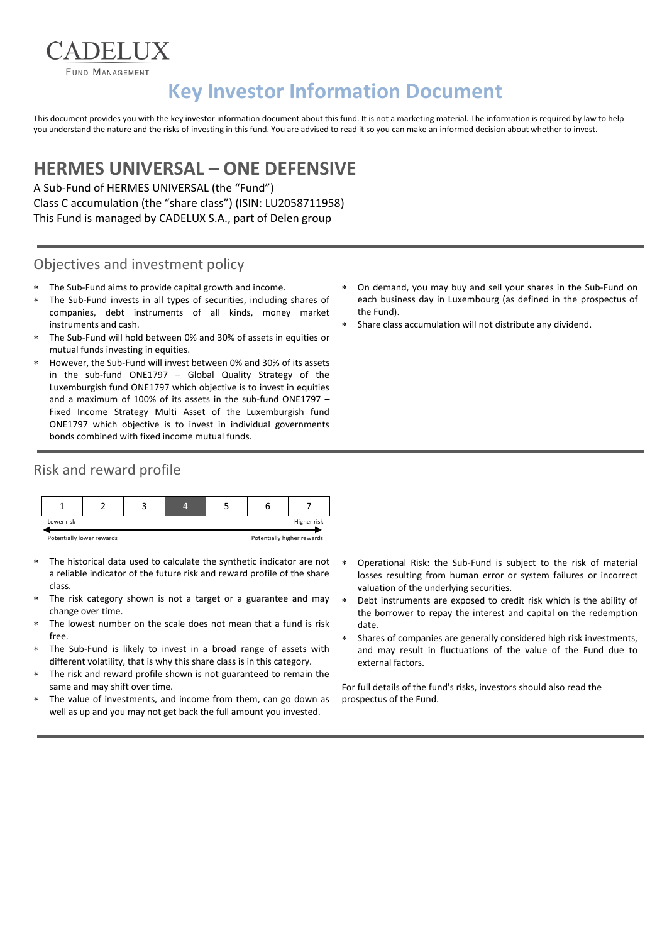**FUND MANAGEMENT** 

# **Key Investor Information Document**

This document provides you with the key investor information document about this fund. It is not a marketing material. The information is required by law to help you understand the nature and the risks of investing in this fund. You are advised to read it so you can make an informed decision about whether to invest.

## **HERMES UNIVERSAL – ONE DEFENSIVE**

A Sub-Fund of HERMES UNIVERSAL (the "Fund") Class C accumulation (the "share class") (ISIN: LU2058711958) This Fund is managed by CADELUX S.A., part of Delen group

#### Objectives and investment policy

- The Sub-Fund aims to provide capital growth and income.
- The Sub-Fund invests in all types of securities, including shares of companies, debt instruments of all kinds, money market instruments and cash.
- The Sub-Fund will hold between 0% and 30% of assets in equities or mutual funds investing in equities.
- However, the Sub-Fund will invest between 0% and 30% of its assets in the sub-fund ONE1797 – Global Quality Strategy of the Luxemburgish fund ONE1797 which objective is to invest in equities and a maximum of 100% of its assets in the sub-fund ONE1797 – Fixed Income Strategy Multi Asset of the Luxemburgish fund ONE1797 which objective is to invest in individual governments bonds combined with fixed income mutual funds.

#### Risk and reward profile



- The historical data used to calculate the synthetic indicator are not a reliable indicator of the future risk and reward profile of the share class.
- The risk category shown is not a target or a guarantee and may change over time.
- The lowest number on the scale does not mean that a fund is risk free.
- The Sub-Fund is likely to invest in a broad range of assets with different volatility, that is why this share class is in this category.
- The risk and reward profile shown is not guaranteed to remain the same and may shift over time.
- The value of investments, and income from them, can go down as well as up and you may not get back the full amount you invested.
- On demand, you may buy and sell your shares in the Sub-Fund on each business day in Luxembourg (as defined in the prospectus of the Fund).
- Share class accumulation will not distribute any dividend.

- Operational Risk: the Sub-Fund is subject to the risk of material losses resulting from human error or system failures or incorrect valuation of the underlying securities.
- Debt instruments are exposed to credit risk which is the ability of the borrower to repay the interest and capital on the redemption date.
- Shares of companies are generally considered high risk investments, and may result in fluctuations of the value of the Fund due to external factors.

For full details of the fund's risks, investors should also read the prospectus of the Fund.